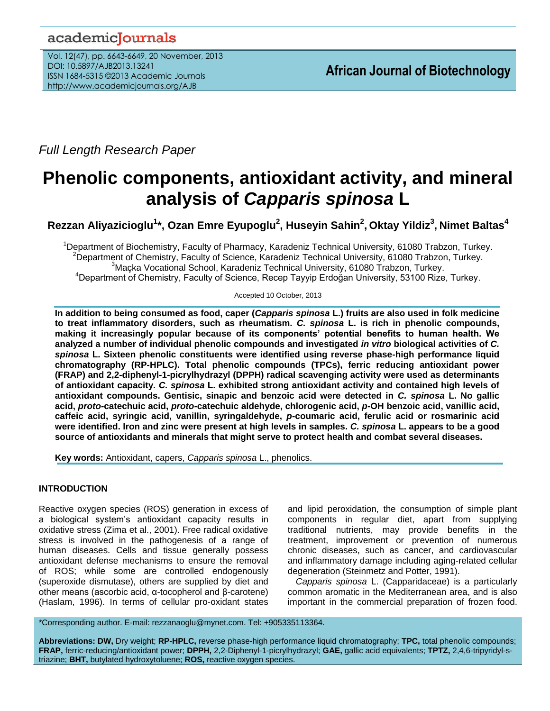# academicJournals

Vol. 12(47), pp. 6643-6649, 20 November, 2013 DOI: 10.5897/AJB2013.13241 ISSN 1684-5315 ©2013 Academic Journals http://www.academicjournals.org/AJB

*Full Length Research Paper*

# **Phenolic components, antioxidant activity, and mineral analysis of** *Capparis spinosa* **L**

**Rezzan Aliyazicioglu<sup>1</sup> \*, Ozan Emre Eyupoglu<sup>2</sup> , Huseyin Sahin<sup>2</sup> , Oktay Yildiz<sup>3</sup> , Nimet Baltas<sup>4</sup>**

<sup>1</sup>Department of Biochemistry, Faculty of Pharmacy, Karadeniz Technical University, 61080 Trabzon, Turkey. <sup>2</sup>Department of Chemistry, Faculty of Science, Karadeniz Technical University, 61080 Trabzon, Turkey.  $3$ Macka Vocational School, Karadeniz Technical University, 61080 Trabzon, Turkey. <sup>4</sup>Department of Chemistry, Faculty of Science, Recep Tayyip Erdoğan University, 53100 Rize, Turkey.

Accepted 10 October, 2013

**In addition to being consumed as food, caper (***Capparis spinosa* **L.) fruits are also used in folk medicine to treat inflammatory disorders, such as rheumatism.** *C. spinosa* **L. is rich in phenolic compounds, making it increasingly popular because of its components' potential benefits to human health. We analyzed a number of individual phenolic compounds and investigated** *in vitro* **biological activities of** *C. spinosa* **L. Sixteen phenolic constituents were identified using reverse phase-high performance liquid chromatography (RP-HPLC). Total phenolic compounds (TPCs), ferric reducing antioxidant power (FRAP) and 2,2-diphenyl-1-picrylhydrazyl (DPPH) radical scavenging activity were used as determinants of antioxidant capacity.** *C. spinosa* **L. exhibited strong antioxidant activity and contained high levels of antioxidant compounds. Gentisic, sinapic and benzoic acid were detected in** *C. spinosa* **L. No gallic acid,** *proto-***catechuic acid,** *proto-***catechuic aldehyde, chlorogenic acid,** *p***-OH benzoic acid, vanillic acid, caffeic acid, syringic acid, vanillin, syringaldehyde,** *p***-coumaric acid, ferulic acid or rosmarinic acid were identified. Iron and zinc were present at high levels in samples.** *C. spinosa* **L. appears to be a good source of antioxidants and minerals that might serve to protect health and combat several diseases.**

**Key words:** Antioxidant, capers, *Capparis spinosa* L., phenolics.

# **INTRODUCTION**

Reactive oxygen species (ROS) generation in excess of a biological system's antioxidant capacity results in oxidative stress (Zima et al., 2001). Free radical oxidative stress is involved in the pathogenesis of a range of human diseases. Cells and tissue generally possess antioxidant defense mechanisms to ensure the removal of ROS; while some are controlled endogenously (superoxide dismutase), others are supplied by diet and other means (ascorbic acid, α-tocopherol and β-carotene) (Haslam, 1996). In terms of cellular pro-oxidant states

and lipid peroxidation, the consumption of simple plant components in regular diet, apart from supplying traditional nutrients, may provide benefits in the treatment, improvement or prevention of numerous chronic diseases, such as cancer, and cardiovascular and inflammatory damage including aging-related cellular degeneration (Steinmetz and Potter, 1991).

*Capparis spinosa* L. (Capparidaceae) is a particularly common aromatic in the Mediterranean area, and is also important in the commercial preparation of frozen food.

\*Corresponding author. E-mail: rezzanaoglu@mynet.com. Tel: +905335113364.

**Abbreviations: DW,** Dry weight; **RP-HPLC,** reverse phase-high performance liquid chromatography; **TPC,** total phenolic compounds; **FRAP,** ferric-reducing/antioxidant power; **DPPH,** 2,2-Diphenyl-1-picrylhydrazyl; **GAE,** gallic acid equivalents; **TPTZ,** 2,4,6-tripyridyl-striazine; **BHT,** butylated hydroxytoluene; **ROS,** reactive oxygen species.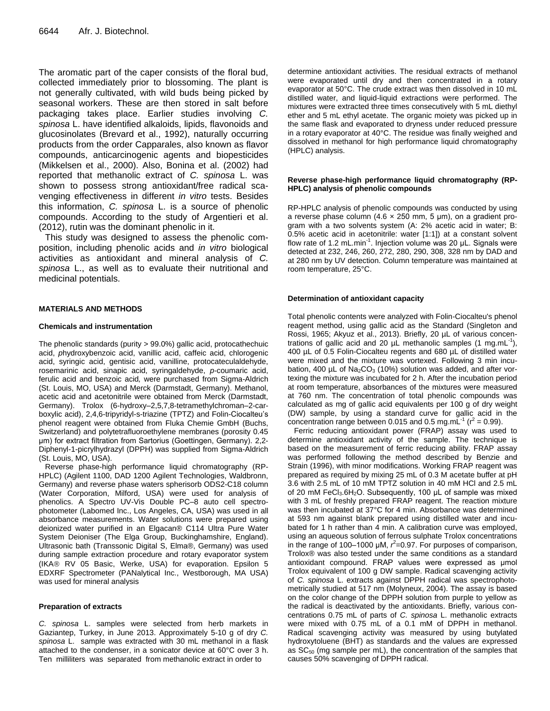The aromatic part of the caper consists of the floral bud, collected immediately prior to blossoming. The plant is not generally cultivated, with wild buds being picked by seasonal workers. These are then stored in salt before packaging takes place. Earlier studies involving *C. spinosa* L. have identified alkaloids, lipids, flavonoids and glucosinolates (Brevard et al., 1992), naturally occurring products from the order Capparales, also known as flavor compounds, anticarcinogenic agents and biopesticides (Mikkelsen et al., 2000). Also, Bonina et al. (2002) had reported that methanolic extract of *C. spinosa* L. was shown to possess strong antioxidant/free radical scavenging effectiveness in different *in vitro* tests. Besides this information, *C. spinosa* L. is a source of phenolic compounds. According to the study of Argentieri et al. (2012), rutin was the dominant phenolic in it.

This study was designed to assess the phenolic composition, including phenolic acids and *in vitro* biological activities as antioxidant and mineral analysis of *C. spinosa* L., as well as to evaluate their nutritional and medicinal potentials.

## **MATERIALS AND METHODS**

#### **Chemicals and instrumentation**

The phenolic standards (purity *>* 99.0%) gallic acid, protocathechuic acid, *p*hydroxybenzoic acid, vanillic acid, caffeic acid, chlorogenic acid, syringic acid, gentisic acid, vanilline, protocateculaldehyde, rosemarinic acid, sinapic acid, syringaldehyde, *p*-coumaric acid, ferulic acid and benzoic acid*,* were purchased from Sigma-Aldrich (St. Louis, MO, USA) and Merck (Darmstadt, Germany). Methanol, acetic acid and acetonitrile were obtained from Merck (Darmstadt, Germany). Trolox (6-hydroxy–2,5,7,8-tetramethylchroman–2-carboxylic acid), 2,4,6-tripyridyl-s-triazine (TPTZ) and Folin-Ciocalteu's phenol reagent were obtained from Fluka Chemie GmbH (Buchs, Switzerland) and polytetrafluoroethylene membranes (porosity 0.45 μm) for extract filtration from Sartorius (Goettingen, Germany). 2,2- Diphenyl-1-picrylhydrazyl (DPPH) was supplied from Sigma-Aldrich (St. Louis, MO, USA).

Reverse phase-high performance liquid chromatography (RP-HPLC) (Agilent 1100, DAD 1200 Agilent Technologies, Waldbronn, Germany) and reverse phase waters spherisorb ODS2-C18 column (Water Corporation, Milford, USA) were used for analysis of phenolics. A Spectro UV-Vis Double PC–8 auto cell spectrophotometer (Labomed Inc., Los Angeles, CA, USA) was used in all absorbance measurements. Water solutions were prepared using deionized water purified in an Elgacan® C114 Ultra Pure Water System Deioniser (The Elga Group, Buckinghamshire, England). Ultrasonic bath (Transsonic Digital S, Elma®, Germany) was used during sample extraction procedure and rotary evaporator system (IKA® RV 05 Basic, Werke, USA) for evaporation. Epsilon 5 EDXRF Spectrometer (PANalytical Inc., Westborough, MA USA) was used for mineral analysis

#### **Preparation of extracts**

*C. spinosa* L. samples were selected from herb markets in Gaziantep, Turkey, in June 2013. Approximately 5-10 g of dry *C. spinosa* L. sample was extracted with 30 mL methanol in a flask attached to the condenser, in a sonicator device at 60°C over 3 h. Ten milliliters was separated from methanolic extract in order to

determine antioxidant activities. The residual extracts of methanol were evaporated until dry and then concentrated in a rotary evaporator at 50°C. The crude extract was then dissolved in 10 mL distilled water, and liquid-liquid extractions were performed. The mixtures were extracted three times consecutively with 5 mL diethyl ether and 5 mL ethyl acetate. The organic moiety was picked up in the same flask and evaporated to dryness under reduced pressure in a rotary evaporator at 40°C. The residue was finally weighed and dissolved in methanol for high performance liquid chromatography (HPLC) analysis.

#### **Reverse phase-high performance liquid chromatography (RP-HPLC) analysis of phenolic compounds**

RP-HPLC analysis of phenolic compounds was conducted by using a reverse phase column (4.6  $\times$  250 mm, 5 µm), on a gradient program with a two solvents system (A: 2% acetic acid in water; B: 0.5% acetic acid in acetonitrile: water [1:1]) at a constant solvent flow rate of 1.2 mL.min<sup>-1</sup>. Injection volume was 20 μL. Signals were detected at 232, 246, 260, 272, 280, 290, 308, 328 nm by DAD and at 280 nm by UV detection. Column temperature was maintained at room temperature, 25°C.

#### **Determination of antioxidant capacity**

Total phenolic contents were analyzed with Folin-Ciocalteu's phenol reagent method, using gallic acid as the Standard (Singleton and Rossi, 1965; Akyuz et al., 2013). Briefly, 20 µL of various concentrations of gallic acid and 20  $\mu$ L methanolic samples (1 mg.mL<sup>-1</sup>), 400 µL of 0.5 Folin-Ciocalteu regents and 680 µL of distilled water were mixed and the mixture was vortexed. Following 3 min incubation, 400  $\mu$ L of Na<sub>2</sub>CO<sub>3</sub> (10%) solution was added, and after vortexing the mixture was incubated for 2 h. After the incubation period at room temperature, absorbances of the mixtures were measured at 760 nm. The concentration of total phenolic compounds was calculated as mg of gallic acid equivalents per 100 g of dry weight (DW) sample, by using a standard curve for gallic acid in the concentration range between 0.015 and 0.5 mg.mL<sup>-1</sup> ( $r^2 = 0.99$ ).

Ferric reducing antioxidant power (FRAP) assay was used to determine antioxidant activity of the sample. The technique is based on the measurement of ferric reducing ability. FRAP assay was performed following the method described by Benzie and Strain (1996), with minor modifications. Working FRAP reagent was prepared as required by mixing 25 mL of 0.3 M acetate buffer at pH 3.6 with 2.5 mL of 10 mM TPTZ solution in 40 mM HCl and 2.5 mL of 20 mM FeCl<sub>3</sub>.6H<sub>2</sub>O. Subsequently, 100 μL of sample was mixed with 3 mL of freshly prepared FRAP reagent. The reaction mixture was then incubated at 37°C for 4 min. Absorbance was determined at 593 nm against blank prepared using distilled water and incubated for 1 h rather than 4 min. A calibration curve was employed, using an aqueous solution of ferrous sulphate Trolox concentrations in the range of 100–1000  $\mu$ M,  $r^2$ =0.97. For purposes of comparison, Trolox® was also tested under the same conditions as a standard antioxidant compound. FRAP values were expressed as μmol Trolox equivalent of 100 g DW sample. Radical scavenging activity of *C. spinosa* L. extracts against DPPH radical was spectrophotometrically studied at 517 nm (Molyneux, 2004). The assay is based on the color change of the DPPH solution from purple to yellow as the radical is deactivated by the antioxidants. Briefly, various concentrations 0.75 mL of parts of *C. spinosa* L. methanolic extracts were mixed with 0.75 mL of a 0.1 mM of DPPH in methanol. Radical scavenging activity was measured by using butylated hydroxytoluene (BHT) as standards and the values are expressed as  $SC_{50}$  (mg sample per mL), the concentration of the samples that causes 50% scavenging of DPPH radical.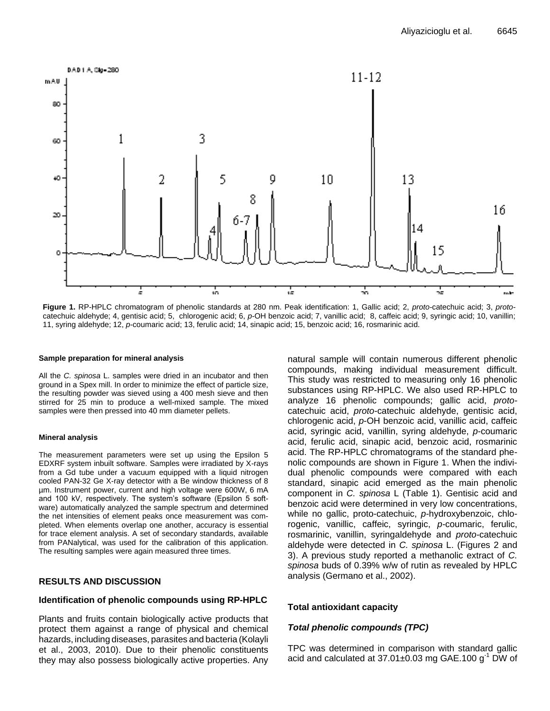

**Figure 1.** RP-HPLC chromatogram of phenolic standards at 280 nm. Peak identification: 1, Gallic acid; 2, *proto-*catechuic acid; 3, *proto*catechuic aldehyde; 4, gentisic acid; 5, chlorogenic acid; 6, *p*-OH benzoic acid; 7, vanillic acid; 8, caffeic acid; 9, syringic acid; 10, vanillin; 11, syring aldehyde; 12, *p*-coumaric acid; 13, ferulic acid; 14, sinapic acid; 15, benzoic acid; 16, rosmarinic acid.

#### **Sample preparation for mineral analysis**

All the *C. spinosa* L. samples were dried in an incubator and then ground in a Spex mill. In order to minimize the effect of particle size, the resulting powder was sieved using a 400 mesh sieve and then stirred for 25 min to produce a well-mixed sample. The mixed samples were then pressed into 40 mm diameter pellets.

#### **Mineral analysis**

The measurement parameters were set up using the Epsilon 5 EDXRF system inbuilt software. Samples were irradiated by X-rays from a Gd tube under a vacuum equipped with a liquid nitrogen cooled PAN-32 Ge X-ray detector with a Be window thickness of 8 µm. Instrument power, current and high voltage were 600W, 6 mA and 100 kV, respectively. The system's software (Epsilon 5 software) automatically analyzed the sample spectrum and determined the net intensities of element peaks once measurement was completed. When elements overlap one another, accuracy is essential for trace element analysis. A set of secondary standards, available from PANalytical, was used for the calibration of this application. The resulting samples were again measured three times.

# **RESULTS AND DISCUSSION**

# **Identification of phenolic compounds using RP-HPLC**

Plants and fruits contain biologically active products that protect them against a range of physical and chemical hazards, including diseases, parasites and bacteria (Kolayli et al., 2003, 2010). Due to their phenolic constituents they may also possess biologically active properties. Any natural sample will contain numerous different phenolic compounds, making individual measurement difficult. This study was restricted to measuring only 16 phenolic substances using RP-HPLC. We also used RP-HPLC to analyze 16 phenolic compounds; gallic acid, *proto*catechuic acid, *proto-*catechuic aldehyde, gentisic acid, chlorogenic acid, *p*-OH benzoic acid, vanillic acid, caffeic acid, syringic acid, vanillin, syring aldehyde, *p*-coumaric acid, ferulic acid, sinapic acid, benzoic acid, rosmarinic acid. The RP-HPLC chromatograms of the standard phenolic compounds are shown in Figure 1. When the individual phenolic compounds were compared with each standard, sinapic acid emerged as the main phenolic component in *C. spinosa* L (Table 1). Gentisic acid and benzoic acid were determined in very low concentrations, while no gallic, proto-catechuic, *p-*hydroxybenzoic, chlorogenic, vanillic, caffeic, syringic, *p-*coumaric, ferulic, rosmarinic, vanillin, syringaldehyde and *proto-*catechuic aldehyde were detected in *C. spinosa* L. (Figures 2 and 3). A previous study reported a methanolic extract of *C. spinosa* buds of 0.39% w/w of rutin as revealed by HPLC analysis (Germano et al., 2002).

# **Total antioxidant capacity**

# *Total phenolic compounds (TPC)*

TPC was determined in comparison with standard gallic acid and calculated at  $37.01\pm0.03$  mg GAE.100 g<sup>-1</sup> DW of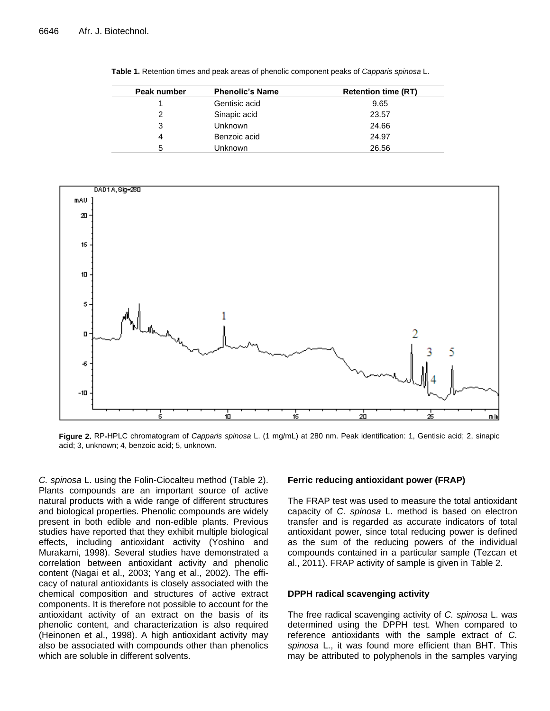| Peak number | <b>Phenolic's Name</b> | <b>Retention time (RT)</b> |
|-------------|------------------------|----------------------------|
|             | Gentisic acid          | 9.65                       |
| 2           | Sinapic acid           | 23.57                      |
| 3           | <b>Unknown</b>         | 24.66                      |
| 4           | Benzoic acid           | 24.97                      |
| 5           | Unknown                | 26.56                      |

**Table 1.** Retention times and peak areas of phenolic component peaks of *Capparis spinosa* L.



**Figure 2.** RP**-**HPLC chromatogram of *Capparis spinosa* L. (1 mg/mL) at 280 nm. Peak identification: 1, Gentisic acid; 2, sinapic acid; 3, unknown; 4, benzoic acid; 5, unknown.

*C. spinosa* L. using the Folin-Ciocalteu method (Table 2). Plants compounds are an important source of active natural products with a wide range of different structures and biological properties. Phenolic compounds are widely present in both edible and non-edible plants. Previous studies have reported that they exhibit multiple biological effects, including antioxidant activity (Yoshino and Murakami, 1998). Several studies have demonstrated a correlation between antioxidant activity and phenolic content (Nagai et al., 2003; Yang et al., 2002). The efficacy of natural antioxidants is closely associated with the chemical composition and structures of active extract components. It is therefore not possible to account for the antioxidant activity of an extract on the basis of its phenolic content, and characterization is also required (Heinonen et al., 1998). A high antioxidant activity may also be associated with compounds other than phenolics which are soluble in different solvents.

# **Ferric reducing antioxidant power (FRAP)**

The FRAP test was used to measure the total antioxidant capacity of *C. spinosa* L. method is based on electron transfer and is regarded as accurate indicators of total antioxidant power, since total reducing power is defined as the sum of the reducing powers of the individual compounds contained in a particular sample (Tezcan et al., 2011). FRAP activity of sample is given in Table 2.

## **DPPH radical scavenging activity**

The free radical scavenging activity of *C. spinosa* L. was determined using the DPPH test. When compared to reference antioxidants with the sample extract of *C. spinosa* L., it was found more efficient than BHT. This may be attributed to polyphenols in the samples varying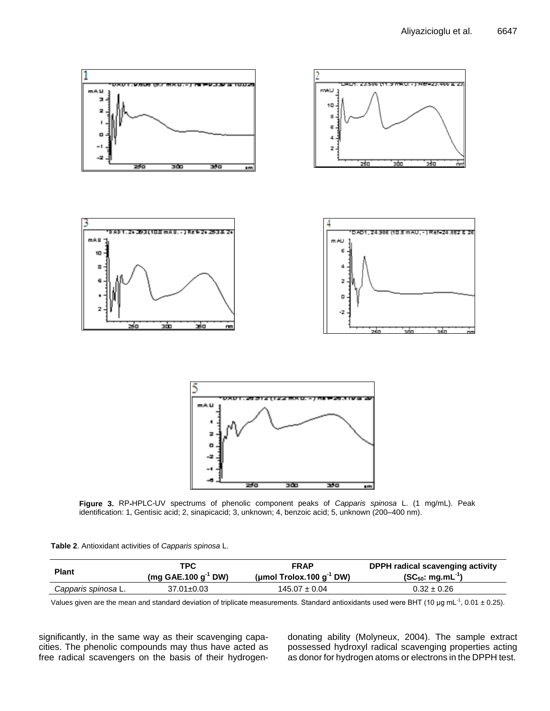

**Figure 3.** RP**-**HPLC-UV spectrums of phenolic component peaks of *Capparis spinosa* L. (1 mg/mL). Peak identification: 1, Gentisic acid; 2, sinapicacid; 3, unknown; 4, benzoic acid; 5, unknown (200–400 nm).

|  | Table 2. Antioxidant activities of Capparis spinosa L. |  |  |  |  |
|--|--------------------------------------------------------|--|--|--|--|
|--|--------------------------------------------------------|--|--|--|--|

| <b>Plant</b>        | <b>TPC</b>               | <b>FRAP</b>                   | DPPH radical scavenging activity |
|---------------------|--------------------------|-------------------------------|----------------------------------|
|                     | (mg GAE.100 $g^{-1}$ DW) | (µmol Trolox.100 $g^{-1}$ DW) | $(SC_{50}: mg.mL^{-1})$          |
| Capparis spinosa L. | $37.01 \pm 0.03$         | $145.07 \pm 0.04$             | $0.32 \pm 0.26$                  |

Values given are the mean and standard deviation of triplicate measurements. Standard antioxidants used were BHT (10 µg mL<sup>-1</sup>, 0.01 ± 0.25).

significantly, in the same way as their scavenging capacities. The phenolic compounds may thus have acted as free radical scavengers on the basis of their hydrogendonating ability (Molyneux, 2004). The sample extract possessed hydroxyl radical scavenging properties acting as donor for hydrogen atoms or electrons in the DPPH test.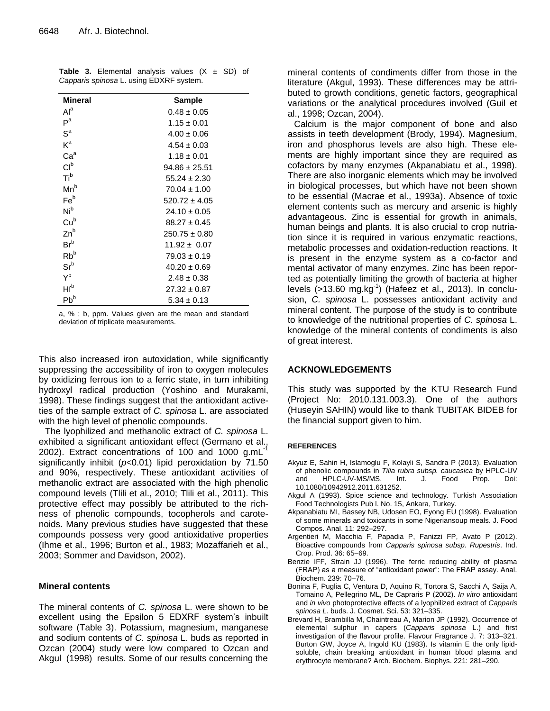| <b>Mineral</b>             | <b>Sample</b>     |
|----------------------------|-------------------|
| Al <sup>a</sup>            | $0.48 \pm 0.05$   |
| $P^a$                      | $1.15 \pm 0.01$   |
| $S^a$                      | $4.00 \pm 0.06$   |
| $K^a$                      | $4.54 \pm 0.03$   |
| Ca <sup>a</sup>            | $1.18 \pm 0.01$   |
| Cl <sup>b</sup>            | $94.86 \pm 25.51$ |
| Ti <sup>b</sup>            | $55.24 \pm 2.30$  |
| $Mn^b$                     | $70.04 \pm 1.00$  |
| Fe <sup>b</sup>            | $520.72 \pm 4.05$ |
| Nib                        | $24.10 \pm 0.05$  |
| Cu <sup>b</sup>            | $88.27 \pm 0.45$  |
| $Zn^b$                     | $250.75 \pm 0.80$ |
| $Br^b$                     | $11.92 \pm 0.07$  |
| $Rb^b$                     | $79.03 \pm 0.19$  |
| $\mathsf{Sr}^{\mathsf{b}}$ | $40.20 \pm 0.69$  |
| $Y^b$                      | $2.48 \pm 0.38$   |
| $Hf^b$                     | $27.32 \pm 0.87$  |
| $Pb^{b}$                   | $5.34 \pm 0.13$   |

**Table 3.** Elemental analysis values  $(X \pm SD)$  of *Capparis spinosa* L. using EDXRF system.

a, % ; b, ppm. Values given are the mean and standard deviation of triplicate measurements.

This also increased iron autoxidation, while significantly suppressing the accessibility of iron to oxygen molecules by oxidizing ferrous ion to a ferric state, in turn inhibiting hydroxyl radical production (Yoshino and Murakami, 1998). These findings suggest that the antioxidant activeties of the sample extract of *C. spinosa* L. are associated with the high level of phenolic compounds.

The lyophilized and methanolic extract of *C. spinosa* L. exhibited a significant antioxidant effect (Germano et al., 2002). Extract concentrations of 100 and 1000 g.mL significantly inhibit (*p*<0.01) lipid peroxidation by 71.50 and 90%, respectively. These antioxidant activities of methanolic extract are associated with the high phenolic compound levels (Tlili et al., 2010; Tlili et al., 2011). This protective effect may possibly be attributed to the richness of phenolic compounds, tocopherols and carotenoids. Many previous studies have suggested that these compounds possess very good antioxidative properties (Ihme et al., 1996; Burton et al., 1983; Mozaffarieh et al., 2003; Sommer and Davidson, 2002).

# **Mineral contents**

The mineral contents of *C. spinosa* L. were shown to be excellent using the Epsilon 5 EDXRF system's inbuilt software (Table 3). Potassium, magnesium, manganese and sodium contents of *C. spinosa* L. buds as reported in Ozcan (2004) study were low compared to Ozcan and Akgul (1998) results. Some of our results concerning the

mineral contents of condiments differ from those in the literature (Akgul, 1993). These differences may be attributed to growth conditions, genetic factors, geographical variations or the analytical procedures involved (Guil et al., 1998; Ozcan, 2004).

Calcium is the major component of bone and also assists in teeth development (Brody, 1994). Magnesium, iron and phosphorus levels are also high. These elements are highly important since they are required as cofactors by many enzymes (Akpanabiatu et al., 1998). There are also inorganic elements which may be involved in biological processes, but which have not been shown to be essential (Macrae et al., 1993a). Absence of toxic element contents such as mercury and arsenic is highly advantageous. Zinc is essential for growth in animals, human beings and plants. It is also crucial to crop nutriation since it is required in various enzymatic reactions, metabolic processes and oxidation-reduction reactions. It is present in the enzyme system as a co-factor and mental activator of many enzymes. Zinc has been reported as potentially limiting the growth of bacteria at higher levels (>13.60 mg.kg<sup>-1</sup>) (Hafeez et al., 2013). In conclusion, *C. spinosa* L. possesses antioxidant activity and mineral content. The purpose of the study is to contribute to knowledge of the nutritional properties of *C. spinosa* L. knowledge of the mineral contents of condiments is also of great interest.

# **ACKNOWLEDGEMENTS**

This study was supported by the KTU Research Fund (Project No: 2010.131.003.3). One of the authors (Huseyin SAHIN) would like to thank TUBITAK BIDEB for the financial support given to him.

# **REFERENCES**

- Akyuz E, Sahin H, Islamoglu F, Kolayli S, Sandra P (2013). Evaluation of phenolic compounds in *Tilia rubra subsp. caucasica* by HPLC-UV and HPLC-UV-MS/MS. Int. J. Food Prop. Doi: 10.1080/10942912.2011.631252.
- Akgul A (1993). Spice science and technology. Turkish Association Food Technologists Pub l. No. 15, Ankara, Turkey.
- Akpanabiatu MI, Bassey NB, Udosen EO, Eyong EU (1998). Evaluation of some minerals and toxicants in some Nigeriansoup meals. J. Food Compos. Anal. 11: 292–297.
- Argentieri M, Macchia F, Papadia P, Fanizzi FP, Avato P (2012). Bioactive compounds from *Capparis spinosa subsp. Rupestris*. Ind. Crop. Prod. 36: 65–69.
- Benzie IFF, Strain JJ (1996). The ferric reducing ability of plasma (FRAP) as a measure of "antioxidant power": The FRAP assay. Anal. Biochem. 239: 70–76.
- Bonina F, Puglia C, Ventura D, Aquino R, Tortora S, Sacchi A, Saija A, Tomaino A, Pellegrino ML, De Capraris P (2002). *In vitro* antioxidant and *in vivo* photoprotective effects of a lyophilized extract of *Capparis spinosa L.* buds. J. Cosmet. Sci. 53: 321–335.
- Brevard H, Brambilla M, Chaintreau A, Marion JP (1992). Occurrence of elemental sulphur in capers (*Capparis spinosa* L.) and first investigation of the flavour profile. Flavour Fragrance J. 7: 313–321. Burton GW, Joyce A, Ingold KU (1983). Is vitamin E the only lipidsoluble, chain breaking antioxidant in human blood plasma and erythrocyte membrane? Arch. Biochem. Biophys. 221: 281–290.